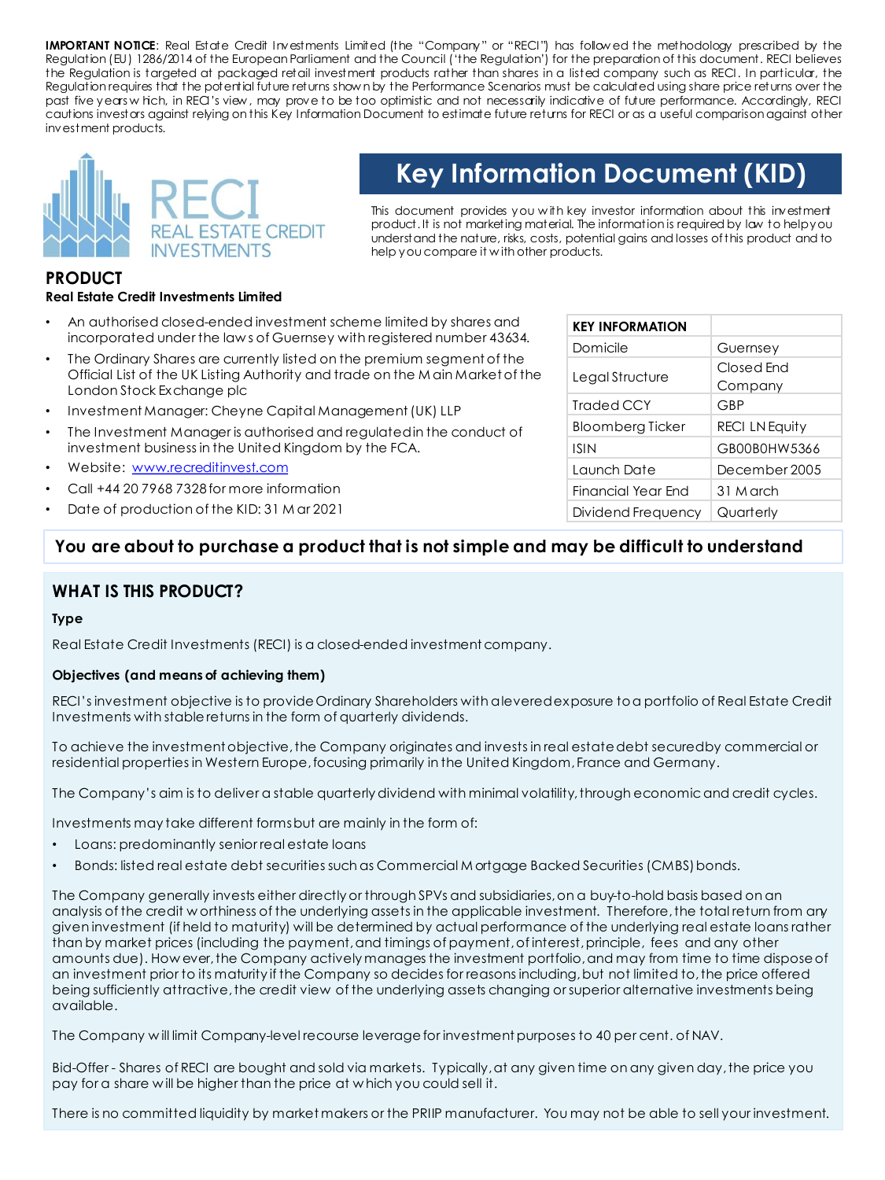**IMPORTANT NOTICE**: Real Estate Credit Investments Limited (the "Company" or "RECI") has follow ed the methodology prescribed by the Regulation (EU) 1286/2014 of the European Parliament and the Council ('the Regulation') for the preparation of this document. RECI believes the Regulation is targeted at packaged retail investment products rather than shares in a listed company such as RECI. In particular, the Regulation requires that the potential future returns show n by the Performance Scenarios must be calculated using share price returns over the past five years w hich, in RECI's view , may prove to be too optimistic and not necessarily indicative of future performance. Accordingly, RECI cautions investors against relying on this Key Information Document to estimate future returns for RECI or as a useful comparisonagainst other investment products.



# **Key Information Document (KID)**

This document provides you w ith key investor information about this investment product. It is not marketing material. The information is required by law to helpyou understand the nature, risks, costs, potential gains and losses ofthis product and to help you compare it w ith other products.

# **PRODUCT**

# **Real Estate Credit Investments Limited**

- An authorised closed-ended investment scheme limited by shares and incorporated under the law s of Guernsey with registered number 43634.
- The Ordinary Shares are currently listed on the premium segment of the Official List of the UK Listing Authority and trade on the M ain Market of the London Stock Exchange plc
- Investment Manager: Cheyne Capital Management (UK) LLP
- The Investment Manager is authorised and regulated in the conduct of investment business in the United Kingdom by the FCA.
- Website: [www.recreditinvest.com](http://www.recreditinvest.com/)
- Call +44 20 7968 7328 for more information
- Date of production of the KID: 31 M ar 2021

| <b>KEY INFORMATION</b>  |                       |
|-------------------------|-----------------------|
| Domicile                | Guernsey              |
| Legal Structure         | Closed End            |
|                         | Company               |
| Traded CCY              | GBP                   |
| <b>Bloomberg Ticker</b> | <b>RECI LN Equity</b> |
| <b>ISIN</b>             | GB00B0HW5366          |
| Launch Date             | December 2005         |
| Financial Year End      | 31 M arch             |
| Dividend Frequency      | Quarterly             |

# **You are about to purchase a product that is not simple and may be difficult to understand**

# **WHAT IS THIS PRODUCT?**

#### **Type**

Real Estate Credit Investments (RECI) is a closed-ended investment company.

#### **Objectives (and means of achieving them)**

RECI's investment objective is to provide Ordinary Shareholders with a levered exposure to a portfolio of Real Estate Credit Investments with stable returns in the form of quarterly dividends.

To achieve the investment objective, the Company originates and invests in real estate debt secured by commercial or residential properties in Western Europe, focusing primarily in the United Kingdom, France and Germany.

The Company's aim is to deliver a stable quarterly dividend with minimal volatility, through economic and credit cycles.

Investments may take different forms but are mainly in the form of:

- Loans: predominantly senior real estate loans
- Bonds: listed real estate debt securities such as Commercial M ortgage Backed Securities (CMBS) bonds.

The Company generally invests either directly or through SPVs and subsidiaries, on a buy-to-hold basis based on an analysis of the credit w orthiness of the underlying assets in the applicable investment. Therefore, the total return from any given investment (if held to maturity) will be determined by actual performance of the underlying real estate loans rather than by market prices (including the payment, and timings of payment, of interest, principle, fees and any other amounts due). How ever, the Company actively manages the investment portfolio, and may from time to time dispose of an investment prior to its maturity if the Company so decides for reasons including, but not limited to, the price offered being sufficiently attractive, the credit view of the underlying assets changing or superior alternative investments being available.

The Company w ill limit Company-level recourse leverage for investment purposes to 40 per cent. of NAV.

Bid-Offer - Shares of RECI are bought and sold via markets. Typically, at any given time on any given day, the price you pay for a share w ill be higher than the price at w hich you could sell it.

There is no committed liquidity by market makers or the PRIIP manufacturer. You may not be able to sell your investment.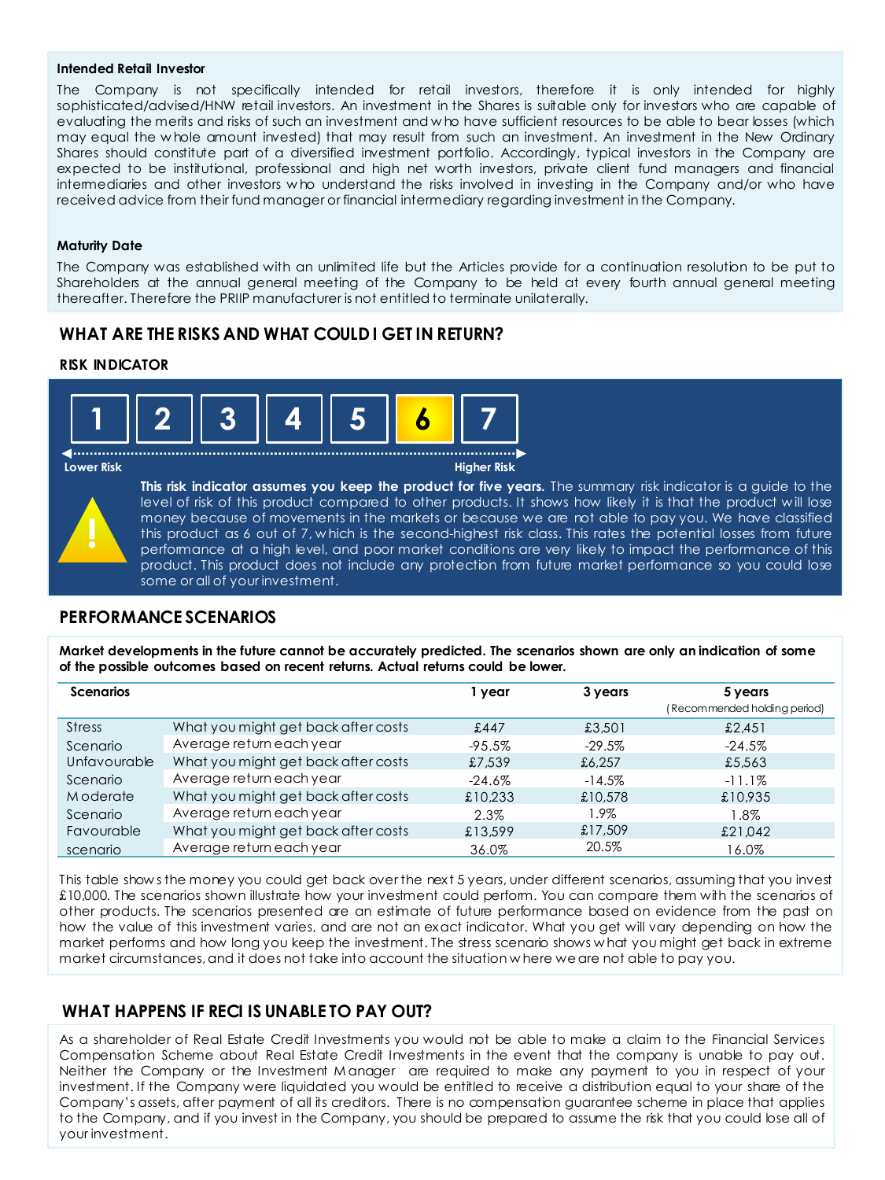#### **Intended Retail Investor**

The Company is not specifically intended for retail investors, therefore it is only intended for highly sophisticated/advised/HNW retail investors. An investment in the Shares is suitable only for investors who are capable of evaluating the merits and risks of such an investment and who have sufficient resources to be able to bear losses (which may equal the w hole amount invested) that may result from such an investment. An investment in the New Ordinary Shares should constitute part of a diversified investment portfolio. Accordingly, typical investors in the Company are expected to be institutional, professional and high net worth investors, private client fund managers and financial intermediaries and other investors w ho understand the risks involved in investing in the Company and/or who have received advice from their fund manager or financial intermediary regarding investment in the Company.

#### **Maturity Date**

The Company was established with an unlimited life but the Articles provide for a continuation resolution to be put to Shareholders at the annual general meeting of the Company to be held at every fourth annual general meeting thereafter. Therefore the PRIIP manufacturer is not entitled to terminate unilaterally.

# **WHAT ARE THE RISKS AND WHAT COULD I GET IN RETURN?**

#### **RISK INDICATOR**



. . . . . . . . . . . . . . . .



#### **Lower Risk Higher Risk**

**This risk indicator assumes you keep the product for five years.** The summary risk indicator is a guide to the level of risk of this product compared to other products. It shows how likely it is that the product will lose money because of movements in the markets or because we are not able to pay you. We have classified this product as 6 out of 7, w hich is the second-highest risk class. This rates the potential losses from future performance at a high level, and poor market conditions are very likely to impact the performance of this product. This product does not include any protection from future market performance so you could lose some or all of your investment.

### **PERFORMANCE SCENARIOS**

**Market developments in the future cannot be accurately predicted. The scenarios shown are only an indication of some of the possible outcomes based on recent returns. Actual returns could be lower.** 

| <b>Scenarios</b> |                                     | 1 year    | 3 years   | 5 years<br>(Recommended holding period) |
|------------------|-------------------------------------|-----------|-----------|-----------------------------------------|
| <b>Stress</b>    | What you might get back after costs | £447      | £3,501    | £2,451                                  |
| Scenario         | Average return each year            | -95.5%    | $-29.5\%$ | $-24.5%$                                |
| Unfavourable     | What you might get back after costs | £7.539    | £6,257    | £5,563                                  |
| Scenario         | Average return each year            | $-24.6\%$ | $-14.5%$  | $-11.1\%$                               |
| Moderate         | What you might get back after costs | £10.233   | £10.578   | £10.935                                 |
| Scenario         | Average return each year            | 2.3%      | 1.9%      | 1.8%                                    |
| Favourable       | What you might get back after costs | £13,599   | £17,509   | £21,042                                 |
| scenario         | Average return each year            | 36.0%     | 20.5%     | 16.0%                                   |

This table show s the money you could get back over the next 5 years, under different scenarios, assuming that you invest £10,000. The scenarios shown illustrate how your investment could perform. You can compare them with the scenarios of other products. The scenarios presented are an estimate of future performance based on evidence from the past on how the value of this investment varies, and are not an exact indicator. What you get will vary depending on how the market performs and how long you keep the investment. The stress scenario shows w hat you might get back in extreme market circumstances, and it does not take into account the situation w here we are not able to pay you.

### **WHAT HAPPENS IF RECI IS UNABLE TO PAY OUT?**

As a shareholder of Real Estate Credit Investments you would not be able to make a claim to the Financial Services Compensation Scheme about Real Estate Credit Investments in the event that the company is unable to pay out. Neither the Company or the Investment M anager are required to make any payment to you in respect of your investment. If the Company were liquidated you would be entitled to receive a distribution equal to your share of the Company's assets, after payment of all its creditors. There is no compensation guarantee scheme in place that applies to the Company, and if you invest in the Company, you should be prepared to assume the risk that you could lose all of your investment.